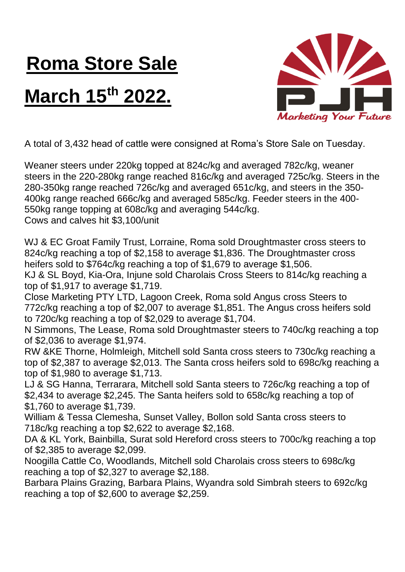## **Roma Store Sale**

## **March 15th 2022.**



A total of 3,432 head of cattle were consigned at Roma's Store Sale on Tuesday.

Weaner steers under 220kg topped at 824c/kg and averaged 782c/kg, weaner steers in the 220-280kg range reached 816c/kg and averaged 725c/kg. Steers in the 280-350kg range reached 726c/kg and averaged 651c/kg, and steers in the 350- 400kg range reached 666c/kg and averaged 585c/kg. Feeder steers in the 400- 550kg range topping at 608c/kg and averaging 544c/kg. Cows and calves hit \$3,100/unit

WJ & EC Groat Family Trust, Lorraine, Roma sold Droughtmaster cross steers to 824c/kg reaching a top of \$2,158 to average \$1,836. The Droughtmaster cross heifers sold to \$764c/kg reaching a top of \$1,679 to average \$1,506.

KJ & SL Boyd, Kia-Ora, Injune sold Charolais Cross Steers to 814c/kg reaching a top of \$1,917 to average \$1,719.

Close Marketing PTY LTD, Lagoon Creek, Roma sold Angus cross Steers to 772c/kg reaching a top of \$2,007 to average \$1,851. The Angus cross heifers sold to 720c/kg reaching a top of \$2,029 to average \$1,704.

N Simmons, The Lease, Roma sold Droughtmaster steers to 740c/kg reaching a top of \$2,036 to average \$1,974.

RW &KE Thorne, Holmleigh, Mitchell sold Santa cross steers to 730c/kg reaching a top of \$2,387 to average \$2,013. The Santa cross heifers sold to 698c/kg reaching a top of \$1,980 to average \$1,713.

LJ & SG Hanna, Terrarara, Mitchell sold Santa steers to 726c/kg reaching a top of \$2,434 to average \$2,245. The Santa heifers sold to 658c/kg reaching a top of \$1,760 to average \$1,739.

William & Tessa Clemesha, Sunset Valley, Bollon sold Santa cross steers to 718c/kg reaching a top \$2,622 to average \$2,168.

DA & KL York, Bainbilla, Surat sold Hereford cross steers to 700c/kg reaching a top of \$2,385 to average \$2,099.

Noogilla Cattle Co, Woodlands, Mitchell sold Charolais cross steers to 698c/kg reaching a top of \$2,327 to average \$2,188.

Barbara Plains Grazing, Barbara Plains, Wyandra sold Simbrah steers to 692c/kg reaching a top of \$2,600 to average \$2,259.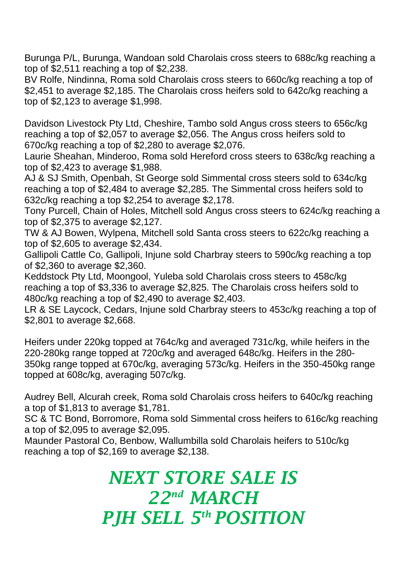Burunga P/L, Burunga, Wandoan sold Charolais cross steers to 688c/kg reaching a top of \$2,511 reaching a top of \$2,238.

BV Rolfe, Nindinna, Roma sold Charolais cross steers to 660c/kg reaching a top of \$2,451 to average \$2,185. The Charolais cross heifers sold to 642c/kg reaching a top of \$2,123 to average \$1,998.

Davidson Livestock Pty Ltd, Cheshire, Tambo sold Angus cross steers to 656c/kg reaching a top of \$2,057 to average \$2,056. The Angus cross heifers sold to 670c/kg reaching a top of \$2,280 to average \$2,076.

Laurie Sheahan, Minderoo, Roma sold Hereford cross steers to 638c/kg reaching a top of \$2,423 to average \$1,988.

AJ & SJ Smith, Openbah, St George sold Simmental cross steers sold to 634c/kg reaching a top of \$2,484 to average \$2,285. The Simmental cross heifers sold to 632c/kg reaching a top \$2,254 to average \$2,178.

Tony Purcell, Chain of Holes, Mitchell sold Angus cross steers to 624c/kg reaching a top of \$2,375 to average \$2,127.

TW & AJ Bowen, Wylpena, Mitchell sold Santa cross steers to 622c/kg reaching a top of \$2,605 to average \$2,434.

Gallipoli Cattle Co, Gallipoli, Injune sold Charbray steers to 590c/kg reaching a top of \$2,360 to average \$2,360.

Keddstock Pty Ltd, Moongool, Yuleba sold Charolais cross steers to 458c/kg reaching a top of \$3,336 to average \$2,825. The Charolais cross heifers sold to 480c/kg reaching a top of \$2,490 to average \$2,403.

LR & SE Laycock, Cedars, Injune sold Charbray steers to 453c/kg reaching a top of \$2,801 to average \$2,668.

Heifers under 220kg topped at 764c/kg and averaged 731c/kg, while heifers in the 220-280kg range topped at 720c/kg and averaged 648c/kg. Heifers in the 280- 350kg range topped at 670c/kg, averaging 573c/kg. Heifers in the 350-450kg range topped at 608c/kg, averaging 507c/kg.

Audrey Bell, Alcurah creek, Roma sold Charolais cross heifers to 640c/kg reaching a top of \$1,813 to average \$1,781.

SC & TC Bond, Borromore, Roma sold Simmental cross heifers to 616c/kg reaching a top of \$2,095 to average \$2,095.

Maunder Pastoral Co, Benbow, Wallumbilla sold Charolais heifers to 510c/kg reaching a top of \$2,169 to average \$2,138.

## *NEXT STORE SALE IS 22nd MARCH PJH SELL 5 th POSITION*